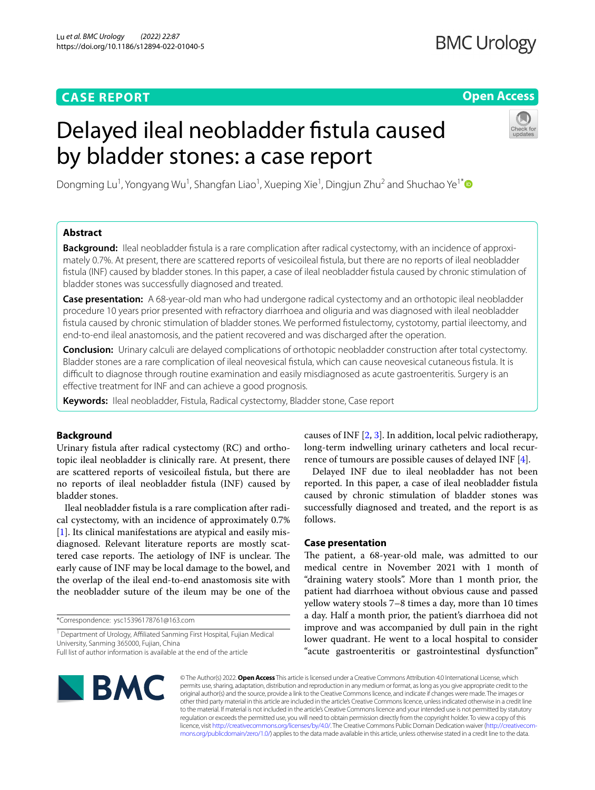# **CASE REPORT**

# **BMC Urology**

# **Open Access**

# Delayed ileal neobladder fstula caused by bladder stones: a case report



Dongming Lu<sup>1</sup> , Yongyang Wu1 , Shangfan Liao<sup>1</sup> , Xueping Xie1 , Dingjun Zhu2 and Shuchao Ye1[\\*](http://orcid.org/0000-0003-0076-9525) 

# **Abstract**

**Background:** Ileal neobladder fstula is a rare complication after radical cystectomy, with an incidence of approximately 0.7%. At present, there are scattered reports of vesicoileal fstula, but there are no reports of ileal neobladder fstula (INF) caused by bladder stones. In this paper, a case of ileal neobladder fstula caused by chronic stimulation of bladder stones was successfully diagnosed and treated.

**Case presentation:** A 68-year-old man who had undergone radical cystectomy and an orthotopic ileal neobladder procedure 10 years prior presented with refractory diarrhoea and oliguria and was diagnosed with ileal neobladder fstula caused by chronic stimulation of bladder stones. We performed fstulectomy, cystotomy, partial ileectomy, and end-to-end ileal anastomosis, and the patient recovered and was discharged after the operation.

**Conclusion:** Urinary calculi are delayed complications of orthotopic neobladder construction after total cystectomy. Bladder stones are a rare complication of ileal neovesical fstula, which can cause neovesical cutaneous fstula. It is difcult to diagnose through routine examination and easily misdiagnosed as acute gastroenteritis. Surgery is an efective treatment for INF and can achieve a good prognosis.

**Keywords:** Ileal neobladder, Fistula, Radical cystectomy, Bladder stone, Case report

# **Background**

Urinary fstula after radical cystectomy (RC) and orthotopic ileal neobladder is clinically rare. At present, there are scattered reports of vesicoileal fstula, but there are no reports of ileal neobladder fstula (INF) caused by bladder stones.

Ileal neobladder fstula is a rare complication after radical cystectomy, with an incidence of approximately 0.7% [[1\]](#page-2-0). Its clinical manifestations are atypical and easily misdiagnosed. Relevant literature reports are mostly scattered case reports. The aetiology of INF is unclear. The early cause of INF may be local damage to the bowel, and the overlap of the ileal end-to-end anastomosis site with the neobladder suture of the ileum may be one of the

\*Correspondence: ysc15396178761@163.com

<sup>1</sup> Department of Urology, Affiliated Sanming First Hospital, Fujian Medical University, Sanming 365000, Fujian, China Full list of author information is available at the end of the article

causes of INF [\[2](#page-2-1), [3\]](#page-2-2). In addition, local pelvic radiotherapy, long-term indwelling urinary catheters and local recurrence of tumours are possible causes of delayed INF [\[4](#page-2-3)].

Delayed INF due to ileal neobladder has not been reported. In this paper, a case of ileal neobladder fstula caused by chronic stimulation of bladder stones was successfully diagnosed and treated, and the report is as follows.

# **Case presentation**

The patient, a 68-year-old male, was admitted to our medical centre in November 2021 with 1 month of "draining watery stools". More than 1 month prior, the patient had diarrhoea without obvious cause and passed yellow watery stools 7–8 times a day, more than 10 times a day. Half a month prior, the patient's diarrhoea did not improve and was accompanied by dull pain in the right lower quadrant. He went to a local hospital to consider "acute gastroenteritis or gastrointestinal dysfunction"



© The Author(s) 2022. **Open Access** This article is licensed under a Creative Commons Attribution 4.0 International License, which permits use, sharing, adaptation, distribution and reproduction in any medium or format, as long as you give appropriate credit to the original author(s) and the source, provide a link to the Creative Commons licence, and indicate if changes were made. The images or other third party material in this article are included in the article's Creative Commons licence, unless indicated otherwise in a credit line to the material. If material is not included in the article's Creative Commons licence and your intended use is not permitted by statutory regulation or exceeds the permitted use, you will need to obtain permission directly from the copyright holder. To view a copy of this licence, visit [http://creativecommons.org/licenses/by/4.0/.](http://creativecommons.org/licenses/by/4.0/) The Creative Commons Public Domain Dedication waiver ([http://creativecom](http://creativecommons.org/publicdomain/zero/1.0/)[mons.org/publicdomain/zero/1.0/\)](http://creativecommons.org/publicdomain/zero/1.0/) applies to the data made available in this article, unless otherwise stated in a credit line to the data.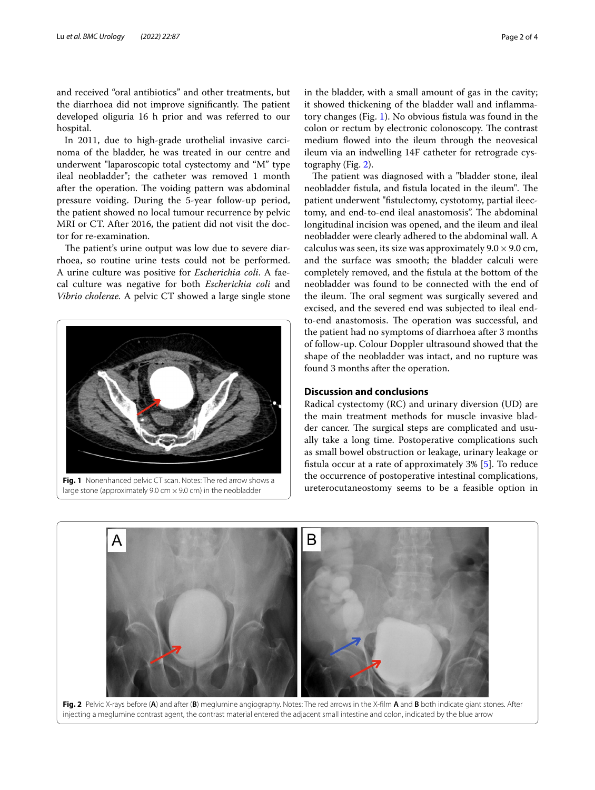and received "oral antibiotics" and other treatments, but the diarrhoea did not improve significantly. The patient developed oliguria 16 h prior and was referred to our hospital.

In 2011, due to high-grade urothelial invasive carcinoma of the bladder, he was treated in our centre and underwent "laparoscopic total cystectomy and "M" type ileal neobladder"; the catheter was removed 1 month after the operation. The voiding pattern was abdominal pressure voiding. During the 5-year follow-up period, the patient showed no local tumour recurrence by pelvic MRI or CT. After 2016, the patient did not visit the doctor for re-examination.

The patient's urine output was low due to severe diarrhoea, so routine urine tests could not be performed. A urine culture was positive for *Escherichia coli*. A faecal culture was negative for both *Escherichia coli* and *Vibrio cholerae.* A pelvic CT showed a large single stone



<span id="page-1-0"></span>large stone (approximately 9.0 cm  $\times$  9.0 cm) in the neobladder

in the bladder, with a small amount of gas in the cavity; it showed thickening of the bladder wall and infammatory changes (Fig. [1](#page-1-0)). No obvious fstula was found in the colon or rectum by electronic colonoscopy. The contrast medium flowed into the ileum through the neovesical ileum via an indwelling 14F catheter for retrograde cystography (Fig. [2\)](#page-1-1).

The patient was diagnosed with a "bladder stone, ileal neobladder fistula, and fistula located in the ileum". The patient underwent "fstulectomy, cystotomy, partial ileectomy, and end-to-end ileal anastomosis". The abdominal longitudinal incision was opened, and the ileum and ileal neobladder were clearly adhered to the abdominal wall. A calculus was seen, its size was approximately  $9.0 \times 9.0$  cm, and the surface was smooth; the bladder calculi were completely removed, and the fstula at the bottom of the neobladder was found to be connected with the end of the ileum. The oral segment was surgically severed and excised, and the severed end was subjected to ileal endto-end anastomosis. The operation was successful, and the patient had no symptoms of diarrhoea after 3 months of follow-up. Colour Doppler ultrasound showed that the shape of the neobladder was intact, and no rupture was found 3 months after the operation.

# **Discussion and conclusions**

Radical cystectomy (RC) and urinary diversion (UD) are the main treatment methods for muscle invasive bladder cancer. The surgical steps are complicated and usually take a long time. Postoperative complications such as small bowel obstruction or leakage, urinary leakage or fstula occur at a rate of approximately 3% [\[5](#page-2-4)]. To reduce the occurrence of postoperative intestinal complications, Fig. 1 Nonenhanced pelvic CT scan. Notes: The red arrow shows a<br>large stone (approximately 9.0 cm x 9.0 cm) in the neobladder **and arrival continues to be a feasible option in** 



<span id="page-1-1"></span>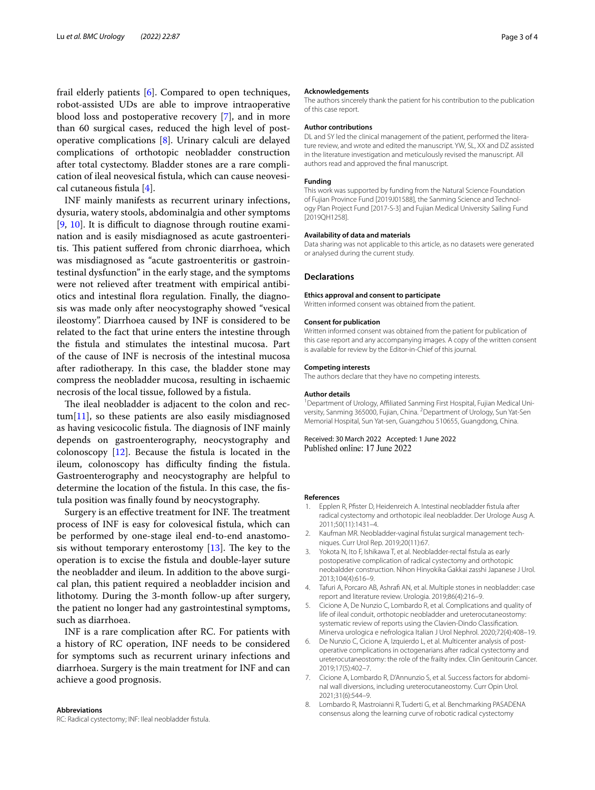frail elderly patients [[6\]](#page-2-5). Compared to open techniques, robot-assisted UDs are able to improve intraoperative blood loss and postoperative recovery [[7\]](#page-2-6), and in more than 60 surgical cases, reduced the high level of postoperative complications [[8\]](#page-2-7). Urinary calculi are delayed complications of orthotopic neobladder construction after total cystectomy. Bladder stones are a rare complication of ileal neovesical fstula, which can cause neovesical cutaneous fstula [\[4](#page-2-3)].

INF mainly manifests as recurrent urinary infections, dysuria, watery stools, abdominalgia and other symptoms [[9,](#page-3-0) [10](#page-3-1)]. It is difficult to diagnose through routine examination and is easily misdiagnosed as acute gastroenteritis. This patient suffered from chronic diarrhoea, which was misdiagnosed as "acute gastroenteritis or gastrointestinal dysfunction" in the early stage, and the symptoms were not relieved after treatment with empirical antibiotics and intestinal fora regulation. Finally, the diagnosis was made only after neocystography showed "vesical ileostomy". Diarrhoea caused by INF is considered to be related to the fact that urine enters the intestine through the fstula and stimulates the intestinal mucosa. Part of the cause of INF is necrosis of the intestinal mucosa after radiotherapy. In this case, the bladder stone may compress the neobladder mucosa, resulting in ischaemic necrosis of the local tissue, followed by a fstula.

The ileal neobladder is adjacent to the colon and rec- $tum[11]$  $tum[11]$  $tum[11]$ , so these patients are also easily misdiagnosed as having vesicocolic fistula. The diagnosis of INF mainly depends on gastroenterography, neocystography and colonoscopy  $[12]$  $[12]$ . Because the fistula is located in the ileum, colonoscopy has difficulty finding the fistula. Gastroenterography and neocystography are helpful to determine the location of the fstula. In this case, the fstula position was fnally found by neocystography.

Surgery is an effective treatment for INF. The treatment process of INF is easy for colovesical fstula, which can be performed by one-stage ileal end-to-end anastomosis without temporary enterostomy  $[13]$  $[13]$ . The key to the operation is to excise the fstula and double-layer suture the neobladder and ileum. In addition to the above surgical plan, this patient required a neobladder incision and lithotomy. During the 3-month follow-up after surgery, the patient no longer had any gastrointestinal symptoms, such as diarrhoea.

INF is a rare complication after RC. For patients with a history of RC operation, INF needs to be considered for symptoms such as recurrent urinary infections and diarrhoea. Surgery is the main treatment for INF and can achieve a good prognosis.

#### **Abbreviations** RC: Radical cystectomy; INF: Ileal neobladder fstula.

### **Acknowledgements**

The authors sincerely thank the patient for his contribution to the publication of this case report.

#### **Author contributions**

DL and SY led the clinical management of the patient, performed the literature review, and wrote and edited the manuscript. YW, SL, XX and DZ assisted in the literature investigation and meticulously revised the manuscript. All authors read and approved the fnal manuscript.

# **Funding**

This work was supported by funding from the Natural Science Foundation of Fujian Province Fund [2019J01588], the Sanming Science and Technology Plan Project Fund [2017-S-3] and Fujian Medical University Sailing Fund [2019QH1258].

#### **Availability of data and materials**

Data sharing was not applicable to this article, as no datasets were generated or analysed during the current study.

## **Declarations**

## **Ethics approval and consent to participate**

Written informed consent was obtained from the patient.

#### **Consent for publication**

Written informed consent was obtained from the patient for publication of this case report and any accompanying images. A copy of the written consent is available for review by the Editor-in-Chief of this journal.

#### **Competing interests**

The authors declare that they have no competing interests.

#### **Author details**

<sup>1</sup> Department of Urology, Affiliated Sanming First Hospital, Fujian Medical University, Sanming 365000, Fujian, China. <sup>2</sup> Department of Urology, Sun Yat-Sen Memorial Hospital, Sun Yat-sen, Guangzhou 510655, Guangdong, China.

Received: 30 March 2022 Accepted: 1 June 2022<br>Published online: 17 June 2022

## **References**

- <span id="page-2-0"></span>1. Epplen R, Pfister D, Heidenreich A. Intestinal neobladder fistula after radical cystectomy and orthotopic ileal neobladder. Der Urologe Ausg A. 2011;50(11):1431–4.
- <span id="page-2-1"></span>2. Kaufman MR. Neobladder-vaginal fstula**:** surgical management techniques. Curr Urol Rep. 2019;20(11):67.
- <span id="page-2-2"></span>3. Yokota N, Ito F, Ishikawa T, et al. Neobladder-rectal fstula as early postoperative complication of radical cystectomy and orthotopic neobaldder construction. Nihon Hinyokika Gakkai zasshi Japanese J Urol. 2013;104(4):616–9.
- <span id="page-2-3"></span>4. Tafuri A, Porcaro AB, Ashraf AN, et al. Multiple stones in neobladder: case report and literature review. Urologia. 2019;86(4):216–9.
- <span id="page-2-4"></span>5. Cicione A, De Nunzio C, Lombardo R, et al. Complications and quality of life of ileal conduit, orthotopic neobladder and ureterocutaneostomy: systematic review of reports using the Clavien-Dindo Classifcation. Minerva urologica e nefrologica Italian J Urol Nephrol. 2020;72(4):408–19.
- <span id="page-2-5"></span>6. De Nunzio C, Cicione A, Izquierdo L, et al. Multicenter analysis of postoperative complications in octogenarians after radical cystectomy and ureterocutaneostomy: the role of the frailty index. Clin Genitourin Cancer. 2019;17(5):402–7.
- <span id="page-2-6"></span>7. Cicione A, Lombardo R, D'Annunzio S, et al. Success factors for abdominal wall diversions, including ureterocutaneostomy. Curr Opin Urol. 2021;31(6):544–9.
- <span id="page-2-7"></span>8. Lombardo R, Mastroianni R, Tuderti G, et al. Benchmarking PASADENA consensus along the learning curve of robotic radical cystectomy